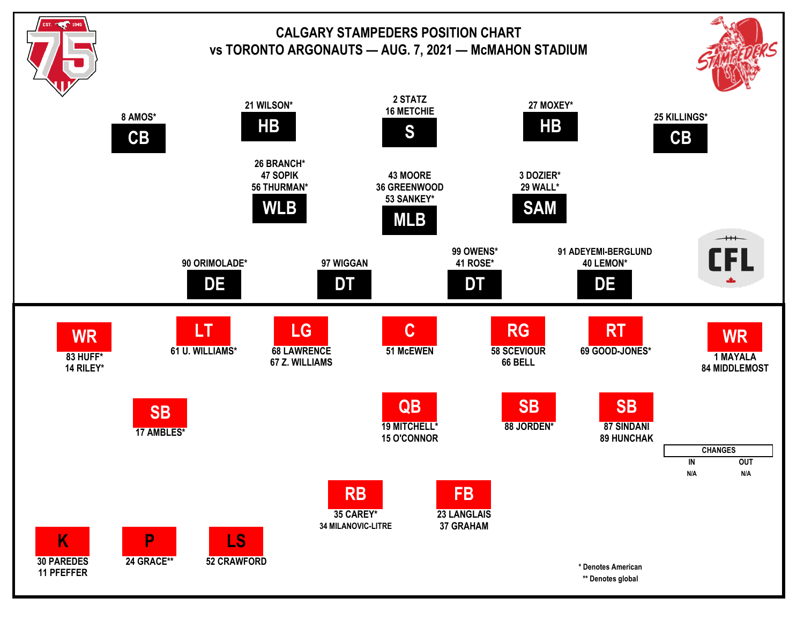